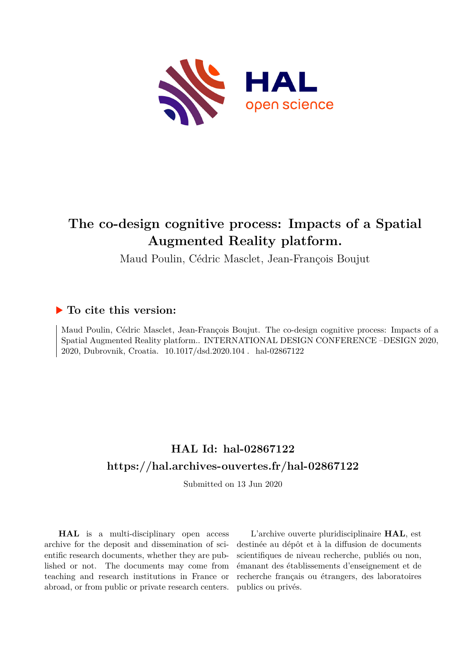

# **The co-design cognitive process: Impacts of a Spatial Augmented Reality platform.**

Maud Poulin, Cédric Masclet, Jean-François Boujut

### **To cite this version:**

Maud Poulin, Cédric Masclet, Jean-François Boujut. The co-design cognitive process: Impacts of a Spatial Augmented Reality platform.. INTERNATIONAL DESIGN CONFERENCE –DESIGN 2020, 2020, Dubrovnik, Croatia. 10.1017/dsd.2020.104. hal-02867122

## **HAL Id: hal-02867122 <https://hal.archives-ouvertes.fr/hal-02867122>**

Submitted on 13 Jun 2020

**HAL** is a multi-disciplinary open access archive for the deposit and dissemination of scientific research documents, whether they are published or not. The documents may come from teaching and research institutions in France or abroad, or from public or private research centers.

L'archive ouverte pluridisciplinaire **HAL**, est destinée au dépôt et à la diffusion de documents scientifiques de niveau recherche, publiés ou non, émanant des établissements d'enseignement et de recherche français ou étrangers, des laboratoires publics ou privés.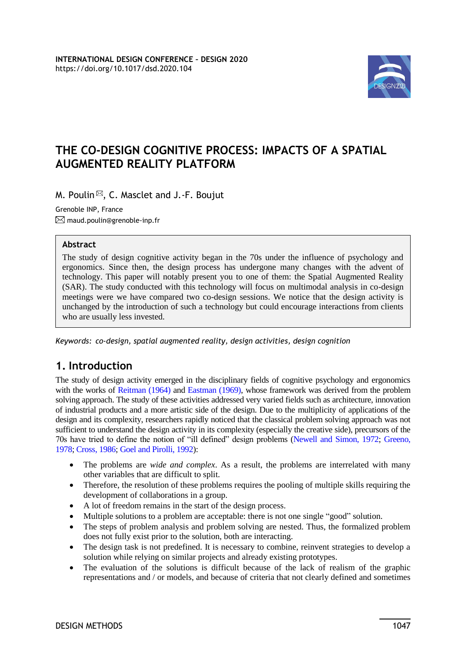

## <span id="page-1-0"></span>**THE CO-DESIGN COGNITIVE PROCESS: IMPACTS OF A SPATIAL AUGMENTED REALITY PLATFORM**

M. Poulin  $\mathbb{Z}$ , C. Masclet and J.-F. Boujut

Grenoble INP, France maud.poulin@grenoble-inp.fr

#### **Abstract**

The study of design cognitive activity began in the 70s under the influence of psychology and ergonomics. Since then, the design process has undergone many changes with the advent of technology. This paper will notably present you to one of them: the Spatial Augmented Reality (SAR). The study conducted with this technology will focus on multimodal analysis in co-design meetings were we have compared two co-design sessions. We notice that the design activity is unchanged by the introduction of such a technology but could encourage interactions from clients who are usually less invested.

*Keywords: co-design, spatial augmented reality, design activities, design cognition*

## **1. Introduction**

The study of design activity emerged in the disciplinary fields of cognitive psychology and ergonomics with the works of [Reitman \(1964\)](#page-10-0) and [Eastman \(1969\),](#page-9-0) whose framework was derived from the problem solving approach. The study of these activities addressed very varied fields such as architecture, innovation of industrial products and a more artistic side of the design. Due to the multiplicity of applications of the design and its complexity, researchers rapidly noticed that the classical problem solving approach was not sufficient to understand the design activity in its complexity (especially the creative side), precursors of the 70s have tried to define the notion of "ill defined" design problems [\(Newell and Simon, 1972;](#page-10-1) [Greeno,](#page-10-2)  [1978;](#page-10-2) [Cross, 1986;](#page-9-1) [Goel and Pirolli, 1992\)](#page-10-3):

- The problems are *wide and complex*. As a result, the problems are interrelated with many other variables that are difficult to split.
- Therefore, the resolution of these problems requires the pooling of multiple skills requiring the development of collaborations in a group.
- A lot of freedom remains in the start of the design process.
- Multiple solutions to a problem are acceptable: there is not one single "good" solution.
- The steps of problem analysis and problem solving are nested. Thus, the formalized problem does not fully exist prior to the solution, both are interacting.
- The design task is not predefined. It is necessary to combine, reinvent strategies to develop a solution while relying on similar projects and already existing prototypes.
- The evaluation of the solutions is difficult because of the lack of realism of the graphic representations and / or models, and because of criteria that not clearly defined and sometimes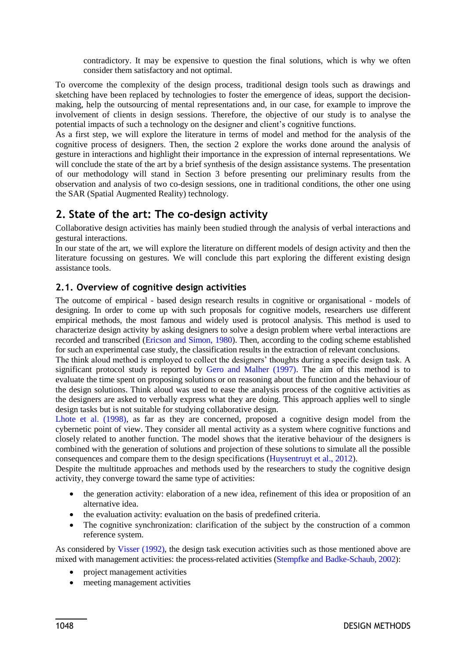contradictory. It may be expensive to question the final solutions, which is why we often consider them satisfactory and not optimal.

To overcome the complexity of the design process, traditional design tools such as drawings and sketching have been replaced by technologies to foster the emergence of ideas, support the decisionmaking, help the outsourcing of mental representations and, in our case, for example to improve the involvement of clients in design sessions. Therefore, the objective of our study is to analyse the potential impacts of such a technology on the designer and client's cognitive functions.

As a first step, we will explore the literature in terms of model and method for the analysis of the cognitive process of designers. Then, the section 2 explore the works done around the analysis of gesture in interactions and highlight their importance in the expression of internal representations. We will conclude the state of the art by a brief synthesis of the design assistance systems. The presentation of our methodology will stand in Section 3 before presenting our preliminary results from the observation and analysis of two co-design sessions, one in traditional conditions, the other one using the SAR (Spatial Augmented Reality) technology.

## **2. State of the art: The co-design activity**

Collaborative design activities has mainly been studied through the analysis of verbal interactions and gestural interactions.

In our state of the art, we will explore the literature on different models of design activity and then the literature focussing on gestures. We will conclude this part exploring the different existing design assistance tools.

#### **2.1. Overview of cognitive design activities**

The outcome of empirical - based design research results in cognitive or organisational - models of designing. In order to come up with such proposals for cognitive models, researchers use different empirical methods, the most famous and widely used is protocol analysis. This method is used to characterize design activity by asking designers to solve a design problem where verbal interactions are recorded and transcribed [\(Ericson and Simon, 1980\)](#page-9-2). Then, according to the coding scheme established for such an experimental case study, the classification results in the extraction of relevant conclusions.

The think aloud method is employed to collect the designers' thoughts during a specific design task. A significant protocol study is reported by [Gero and Malher \(1997\).](#page-9-3) The aim of this method is to evaluate the time spent on proposing solutions or on reasoning about the function and the behaviour of the design solutions. Think aloud was used to ease the analysis process of the cognitive activities as the designers are asked to verbally express what they are doing. This approach applies well to single design tasks but is not suitable for studying collaborative design.

[Lhote et al. \(1998\),](#page-10-4) as far as they are concerned, proposed a cognitive design model from the cybernetic point of view. They consider all mental activity as a system where cognitive functions and closely related to another function. The model shows that the iterative behaviour of the designers is combined with the generation of solutions and projection of these solutions to simulate all the possible consequences and compare them to the design specifications [\(Huysentruyt et al., 2012\)](#page-10-5).

Despite the multitude approaches and methods used by the researchers to study the cognitive design activity, they converge toward the same type of activities:

- the generation activity: elaboration of a new idea, refinement of this idea or proposition of an alternative idea.
- the evaluation activity: evaluation on the basis of predefined criteria.
- The cognitive synchronization: clarification of the subject by the construction of a common reference system.

As considered by [Visser \(1992\),](#page-1-0) the design task execution activities such as those mentioned above are mixed with management activities: the process-related activities [\(Stempfke and Badke-Schaub, 2002\)](#page-10-6):

- project management activities
- meeting management activities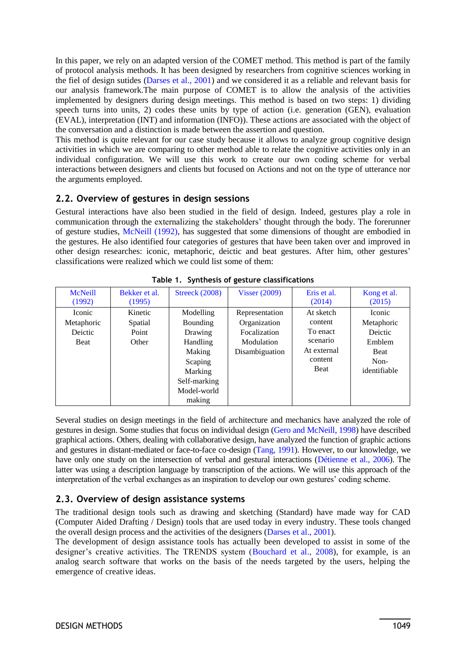In this paper, we rely on an adapted version of the COMET method. This method is part of the family of protocol analysis methods. It has been designed by researchers from cognitive sciences working in the fiel of design sutides [\(Darses et al., 2001\)](#page-9-4) and we considered it as a reliable and relevant basis for our analysis framework.The main purpose of COMET is to allow the analysis of the activities implemented by designers during design meetings. This method is based on two steps: 1) dividing speech turns into units, 2) codes these units by type of action (i.e. generation (GEN), evaluation (EVAL), interpretation (INT) and information (INFO)). These actions are associated with the object of the conversation and a distinction is made between the assertion and question.

This method is quite relevant for our case study because it allows to analyze group cognitive design activities in which we are comparing to other method able to relate the cognitive activities only in an individual configuration. We will use this work to create our own coding scheme for verbal interactions between designers and clients but focused on Actions and not on the type of utterance nor the arguments employed.

#### **2.2. Overview of gestures in design sessions**

Gestural interactions have also been studied in the field of design. Indeed, gestures play a role in communication through the externalizing the stakeholders' thought through the body. The forerunner of gesture studies, [McNeill \(1992\),](#page-10-7) has suggested that some dimensions of thought are embodied in the gestures. He also identified four categories of gestures that have been taken over and improved in other design researches: iconic, metaphoric, deictic and beat gestures. After him, other gestures' classifications were realized which we could list some of them:

| <b>McNeill</b><br>(1992)                       | Bekker et al.<br>(1995)              | Streeck $(2008)$                                                                                                      | Visser $(2009)$                                                                | Eris et al.<br>(2014)                                                                 | Kong et al.<br>(2015)                                                                   |
|------------------------------------------------|--------------------------------------|-----------------------------------------------------------------------------------------------------------------------|--------------------------------------------------------------------------------|---------------------------------------------------------------------------------------|-----------------------------------------------------------------------------------------|
| Iconic<br>Metaphoric<br>Deictic<br><b>Beat</b> | Kinetic<br>Spatial<br>Point<br>Other | Modelling<br>Bounding<br>Drawing<br>Handling<br>Making<br>Scaping<br>Marking<br>Self-marking<br>Model-world<br>making | Representation<br>Organization<br>Focalization<br>Modulation<br>Disambiguation | At sketch<br>content<br>To enact<br>scenario<br>At external<br>content<br><b>Beat</b> | <b>Iconic</b><br>Metaphoric<br>Deictic<br>Emblem<br><b>Beat</b><br>Non-<br>identifiable |

|  |  | Table 1. Synthesis of gesture classifications |
|--|--|-----------------------------------------------|
|  |  |                                               |

Several studies on design meetings in the field of architecture and mechanics have analyzed the role of gestures in design. Some studies that focus on individual design (Gero and [McNeill, 1998\)](#page-10-10) have described graphical actions. Others, dealing with collaborative design, have analyzed the function of graphic actions and gestures in distant-mediated or face-to-face co-design [\(Tang, 1991\)](#page-10-11). However, to our knowledge, we have only one study on the intersection of verbal and gestural interactions [\(Détienne et al., 2006\)](#page-9-7). The latter was using a description language by transcription of the actions. We will use this approach of the interpretation of the verbal exchanges as an inspiration to develop our own gestures' coding scheme.

#### **2.3. Overview of design assistance systems**

The traditional design tools such as drawing and sketching (Standard) have made way for CAD (Computer Aided Drafting / Design) tools that are used today in every industry. These tools changed the overall design process and the activities of the designers [\(Darses et al., 2001\)](#page-9-4).

The development of design assistance tools has actually been developed to assist in some of the designer's creative activities. The TRENDS system [\(Bouchard et al., 2008\)](#page-9-8), for example, is an analog search software that works on the basis of the needs targeted by the users, helping the emergence of creative ideas.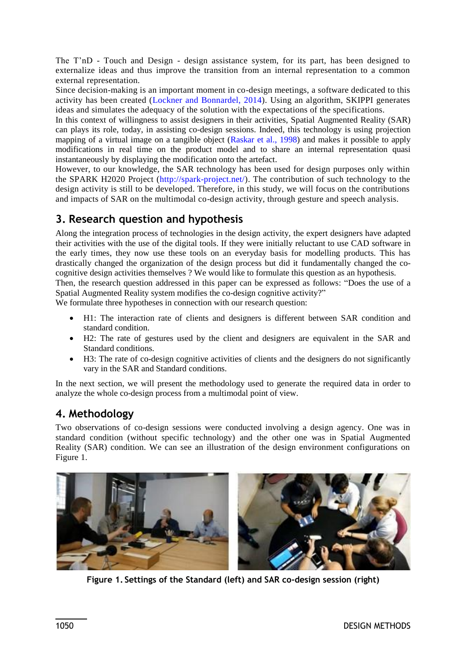The T'nD - Touch and Design - design assistance system, for its part, has been designed to externalize ideas and thus improve the transition from an internal representation to a common external representation.

Since decision-making is an important moment in co-design meetings, a software dedicated to this activity has been created [\(Lockner and Bonnardel, 2014\)](#page-10-12). Using an algorithm, SKIPPI generates ideas and simulates the adequacy of the solution with the expectations of the specifications.

In this context of willingness to assist designers in their activities, Spatial Augmented Reality (SAR) can plays its role, today, in assisting co-design sessions. Indeed, this technology is using projection mapping of a virtual image on a tangible object [\(Raskar et al., 1998\)](#page-10-13) and makes it possible to apply modifications in real time on the product model and to share an internal representation quasi instantaneously by displaying the modification onto the artefact.

However, to our knowledge, the SAR technology has been used for design purposes only within the SPARK H2020 Project [\(http://spark-project.net/\)](http://spark-project.net/). The contribution of such technology to the design activity is still to be developed. Therefore, in this study, we will focus on the contributions and impacts of SAR on the multimodal co-design activity, through gesture and speech analysis.

## **3. Research question and hypothesis**

Along the integration process of technologies in the design activity, the expert designers have adapted their activities with the use of the digital tools. If they were initially reluctant to use CAD software in the early times, they now use these tools on an everyday basis for modelling products. This has drastically changed the organization of the design process but did it fundamentally changed the cocognitive design activities themselves ? We would like to formulate this question as an hypothesis.

Then, the research question addressed in this paper can be expressed as follows: "Does the use of a Spatial Augmented Reality system modifies the co-design cognitive activity?"

We formulate three hypotheses in connection with our research question:

- H1: The interaction rate of clients and designers is different between SAR condition and standard condition.
- H2: The rate of gestures used by the client and designers are equivalent in the SAR and Standard conditions.
- H3: The rate of co-design cognitive activities of clients and the designers do not significantly vary in the SAR and Standard conditions.

In the next section, we will present the methodology used to generate the required data in order to analyze the whole co-design process from a multimodal point of view.

## **4. Methodology**

Two observations of co-design sessions were conducted involving a design agency. One was in standard condition (without specific technology) and the other one was in Spatial Augmented Reality (SAR) condition. We can see an illustration of the design environment configurations on Figure 1.



**Figure 1. Settings of the Standard (left) and SAR co-design session (right)**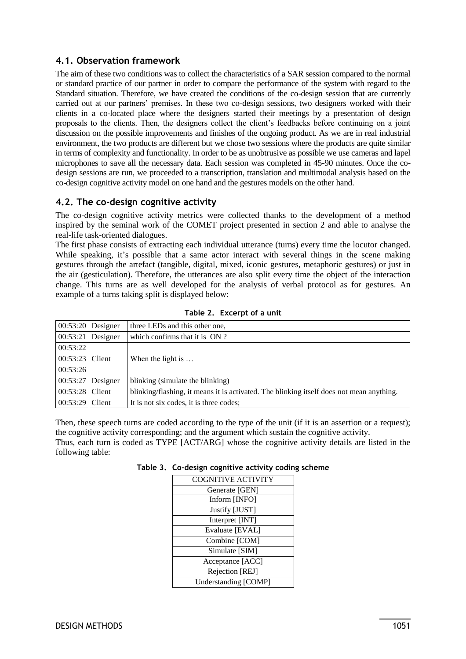#### **4.1. Observation framework**

The aim of these two conditions was to collect the characteristics of a SAR session compared to the normal or standard practice of our partner in order to compare the performance of the system with regard to the Standard situation. Therefore, we have created the conditions of the co-design session that are currently carried out at our partners' premises. In these two co-design sessions, two designers worked with their clients in a co-located place where the designers started their meetings by a presentation of design proposals to the clients. Then, the designers collect the client's feedbacks before continuing on a joint discussion on the possible improvements and finishes of the ongoing product. As we are in real industrial environment, the two products are different but we chose two sessions where the products are quite similar in terms of complexity and functionality. In order to be as unobtrusive as possible we use cameras and lapel microphones to save all the necessary data. Each session was completed in 45-90 minutes. Once the codesign sessions are run, we proceeded to a transcription, translation and multimodal analysis based on the co-design cognitive activity model on one hand and the gestures models on the other hand.

#### **4.2. The co-design cognitive activity**

The co-design cognitive activity metrics were collected thanks to the development of a method inspired by the seminal work of the COMET project presented in section 2 and able to analyse the real-life task-oriented dialogues.

The first phase consists of extracting each individual utterance (turns) every time the locutor changed. While speaking, it's possible that a same actor interact with several things in the scene making gestures through the artefact (tangible, digital, mixed, iconic gestures, metaphoric gestures) or just in the air (gesticulation). Therefore, the utterances are also split every time the object of the interaction change. This turns are as well developed for the analysis of verbal protocol as for gestures. An example of a turns taking split is displayed below:

|                   | $00:53:20$ Designer | three LEDs and this other one,                                                           |
|-------------------|---------------------|------------------------------------------------------------------------------------------|
|                   | $00:53:21$ Designer | which confirms that it is ON?                                                            |
| 00:53:22          |                     |                                                                                          |
| $00:53:23$ Client |                     | When the light is                                                                        |
| 00:53:26          |                     |                                                                                          |
|                   | $00:53:27$ Designer | blinking (simulate the blinking)                                                         |
| $00:53:28$ Client |                     | blinking/flashing, it means it is activated. The blinking itself does not mean anything. |
| $00:53:29$ Client |                     | It is not six codes, it is three codes;                                                  |

|  | Table 2. Excerpt of a unit |  |  |  |
|--|----------------------------|--|--|--|
|--|----------------------------|--|--|--|

Then, these speech turns are coded according to the type of the unit (if it is an assertion or a request); the cognitive activity corresponding; and the argument which sustain the cognitive activity.

Thus, each turn is coded as TYPE [ACT/ARG] whose the cognitive activity details are listed in the following table:

| Table 3. Co-design cognitive activity coding scheme |  |
|-----------------------------------------------------|--|
| COGNITIVE ACTIVITY                                  |  |

| <b>COGNITIVE ACTIVITY</b>   |
|-----------------------------|
| Generate [GEN]              |
| Inform [INFO]               |
| Justify [JUST]              |
| Interpret [INT]             |
| Evaluate [EVAL]             |
| Combine [COM]               |
| Simulate [SIM]              |
| Acceptance [ACC]            |
| Rejection [REJ]             |
| <b>Understanding [COMP]</b> |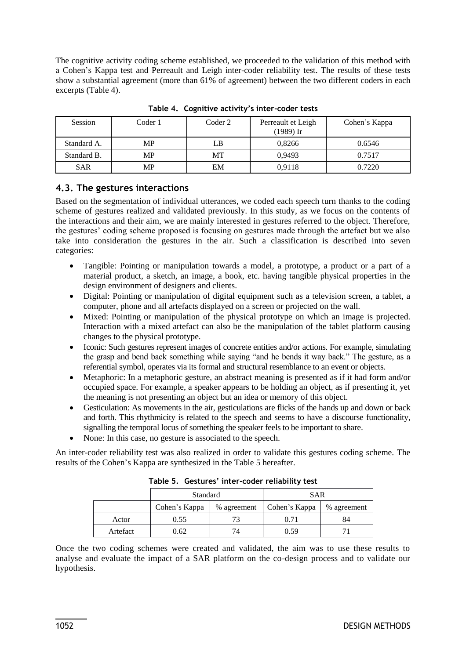The cognitive activity coding scheme established, we proceeded to the validation of this method with a Cohen's Kappa test and Perreault and Leigh inter-coder reliability test. The results of these tests show a substantial agreement (more than 61% of agreement) between the two different coders in each excerpts (Table 4).

| Session     | Coder 1 | Coder 2 | Perreault et Leigh<br>$(1989)$ Ir | Cohen's Kappa |  |  |  |  |  |
|-------------|---------|---------|-----------------------------------|---------------|--|--|--|--|--|
| Standard A. | МP      | LВ      | 0.8266                            | 0.6546        |  |  |  |  |  |
| Standard B. | MP      | МT      | 0.9493                            | 0.7517        |  |  |  |  |  |
| <b>SAR</b>  | МP      | EM      | 0,9118                            | 0.7220        |  |  |  |  |  |

**Table 4. Cognitive activity's inter-coder tests**

### **4.3. The gestures interactions**

Based on the segmentation of individual utterances, we coded each speech turn thanks to the coding scheme of gestures realized and validated previously. In this study, as we focus on the contents of the interactions and their aim, we are mainly interested in gestures referred to the object. Therefore, the gestures' coding scheme proposed is focusing on gestures made through the artefact but we also take into consideration the gestures in the air. Such a classification is described into seven categories:

- Tangible: Pointing or manipulation towards a model, a prototype, a product or a part of a material product, a sketch, an image, a book, etc. having tangible physical properties in the design environment of designers and clients.
- Digital: Pointing or manipulation of digital equipment such as a television screen, a tablet, a computer, phone and all artefacts displayed on a screen or projected on the wall.
- Mixed: Pointing or manipulation of the physical prototype on which an image is projected. Interaction with a mixed artefact can also be the manipulation of the tablet platform causing changes to the physical prototype.
- Iconic: Such gestures represent images of concrete entities and/or actions. For example, simulating the grasp and bend back something while saying "and he bends it way back." The gesture, as a referential symbol, operates via its formal and structural resemblance to an event or objects.
- Metaphoric: In a metaphoric gesture, an abstract meaning is presented as if it had form and/or occupied space. For example, a speaker appears to be holding an object, as if presenting it, yet the meaning is not presenting an object but an idea or memory of this object.
- Gesticulation: As movements in the air, gesticulations are flicks of the hands up and down or back and forth. This rhythmicity is related to the speech and seems to have a discourse functionality, signalling the temporal locus of something the speaker feels to be important to share.
- None: In this case, no gesture is associated to the speech.

An inter-coder reliability test was also realized in order to validate this gestures coding scheme. The results of the Cohen's Kappa are synthesized in the Table 5 hereafter.

|          | Standard                     |    | <b>SAR</b>    |             |  |  |  |
|----------|------------------------------|----|---------------|-------------|--|--|--|
|          | Cohen's Kappa<br>% agreement |    | Cohen's Kappa | % agreement |  |  |  |
| Actor    | 0.55                         | 73 | 0.71          | 84          |  |  |  |
| Artefact | 0.62                         | 74 | 0.59          |             |  |  |  |

**Table 5. Gestures' inter-coder reliability test**

Once the two coding schemes were created and validated, the aim was to use these results to analyse and evaluate the impact of a SAR platform on the co-design process and to validate our hypothesis.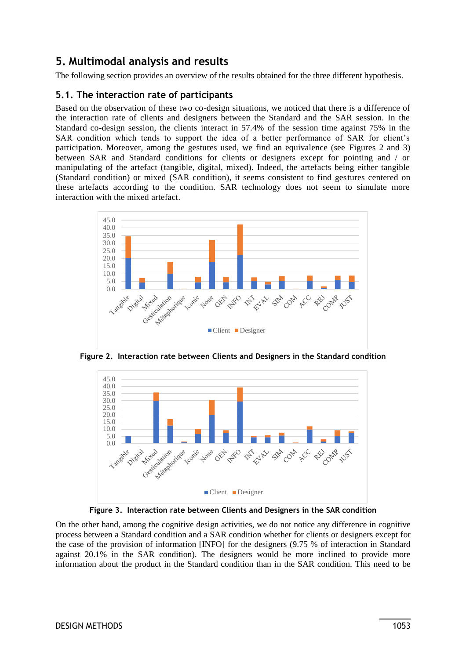## **5. Multimodal analysis and results**

The following section provides an overview of the results obtained for the three different hypothesis.

#### **5.1. The interaction rate of participants**

Based on the observation of these two co-design situations, we noticed that there is a difference of the interaction rate of clients and designers between the Standard and the SAR session. In the Standard co-design session, the clients interact in 57.4% of the session time against 75% in the SAR condition which tends to support the idea of a better performance of SAR for client's participation. Moreover, among the gestures used, we find an equivalence (see Figures 2 and 3) between SAR and Standard conditions for clients or designers except for pointing and / or manipulating of the artefact (tangible, digital, mixed). Indeed, the artefacts being either tangible (Standard condition) or mixed (SAR condition), it seems consistent to find gestures centered on these artefacts according to the condition. SAR technology does not seem to simulate more interaction with the mixed artefact.



**Figure 2. Interaction rate between Clients and Designers in the Standard condition**



**Figure 3. Interaction rate between Clients and Designers in the SAR condition**

On the other hand, among the cognitive design activities, we do not notice any difference in cognitive process between a Standard condition and a SAR condition whether for clients or designers except for the case of the provision of information [INFO] for the designers (9.75 % of interaction in Standard against 20.1% in the SAR condition). The designers would be more inclined to provide more information about the product in the Standard condition than in the SAR condition. This need to be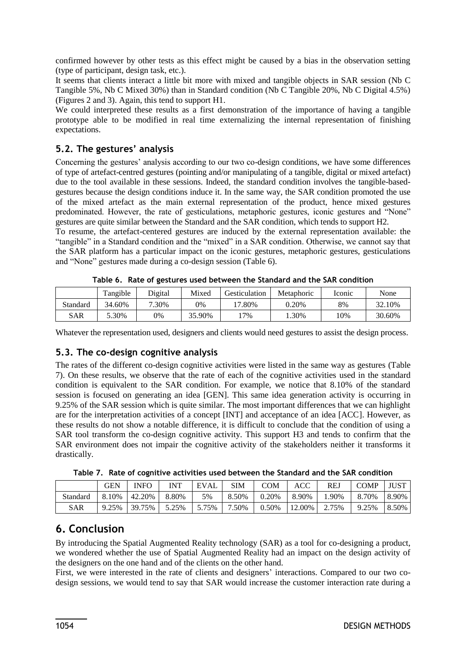confirmed however by other tests as this effect might be caused by a bias in the observation setting (type of participant, design task, etc.).

It seems that clients interact a little bit more with mixed and tangible objects in SAR session (Nb C Tangible 5%, Nb C Mixed 30%) than in Standard condition (Nb C Tangible 20%, Nb C Digital 4.5%) (Figures 2 and 3). Again, this tend to support H1.

We could interpreted these results as a first demonstration of the importance of having a tangible prototype able to be modified in real time externalizing the internal representation of finishing expectations.

#### **5.2. The gestures' analysis**

Concerning the gestures' analysis according to our two co-design conditions, we have some differences of type of artefact-centred gestures (pointing and/or manipulating of a tangible, digital or mixed artefact) due to the tool available in these sessions. Indeed, the standard condition involves the tangible-basedgestures because the design conditions induce it. In the same way, the SAR condition promoted the use of the mixed artefact as the main external representation of the product, hence mixed gestures predominated. However, the rate of gesticulations, metaphoric gestures, iconic gestures and "None" gestures are quite similar between the Standard and the SAR condition, which tends to support H2.

To resume, the artefact-centered gestures are induced by the external representation available: the "tangible" in a Standard condition and the "mixed" in a SAR condition. Otherwise, we cannot say that the SAR platform has a particular impact on the iconic gestures, metaphoric gestures, gesticulations and "None" gestures made during a co-design session (Table 6).

|          | Tangible | Digital | Mixed  | Gesticulation             | Metaphoric | lcomic | None   |
|----------|----------|---------|--------|---------------------------|------------|--------|--------|
| Standard | 34.60%   | 7.30%   | 0%     | $2.80\%$<br>$\mathcal{L}$ | 0.20%      | 8%     | 32.10% |
| SAR      | 5.30%    | 0%      | 35.90% | 17%                       | .30%       | 10%    | 30.60% |

**Table 6. Rate of gestures used between the Standard and the SAR condition**

Whatever the representation used, designers and clients would need gestures to assist the design process.

#### **5.3. The co-design cognitive analysis**

The rates of the different co-design cognitive activities were listed in the same way as gestures (Table 7). On these results, we observe that the rate of each of the cognitive activities used in the standard condition is equivalent to the SAR condition. For example, we notice that 8.10% of the standard session is focused on generating an idea [GEN]. This same idea generation activity is occurring in 9.25% of the SAR session which is quite similar. The most important differences that we can highlight are for the interpretation activities of a concept [INT] and acceptance of an idea [ACC]. However, as these results do not show a notable difference, it is difficult to conclude that the condition of using a SAR tool transform the co-design cognitive activity. This support H3 and tends to confirm that the SAR environment does not impair the cognitive activity of the stakeholders neither it transforms it drastically.

| Table 7. Rate of cognitive activities used between the Standard and the SAR condition |  |
|---------------------------------------------------------------------------------------|--|
|---------------------------------------------------------------------------------------|--|

|          | GEN   | INFO   | <b>INT</b> | <b>EVAL</b> | SIM   | COM   | ACC    | RE.   | <b>COMP</b> | <b>JUST</b> |
|----------|-------|--------|------------|-------------|-------|-------|--------|-------|-------------|-------------|
| Standard | 8.10% | 42.20% | 8.80%      | 5%          | 8.50% | 0.20% | 8.90%  | 90%   | 8.70%       | 8.90%       |
| SAR      | 9.25% | 39.75% | 5.25%      | 5.75%       | 7.50% | 0.50% | 12.00% | 2.75% | 9.25%       | 8.50%       |

## **6. Conclusion**

By introducing the Spatial Augmented Reality technology (SAR) as a tool for co-designing a product, we wondered whether the use of Spatial Augmented Reality had an impact on the design activity of the designers on the one hand and of the clients on the other hand.

First, we were interested in the rate of clients and designers' interactions. Compared to our two codesign sessions, we would tend to say that SAR would increase the customer interaction rate during a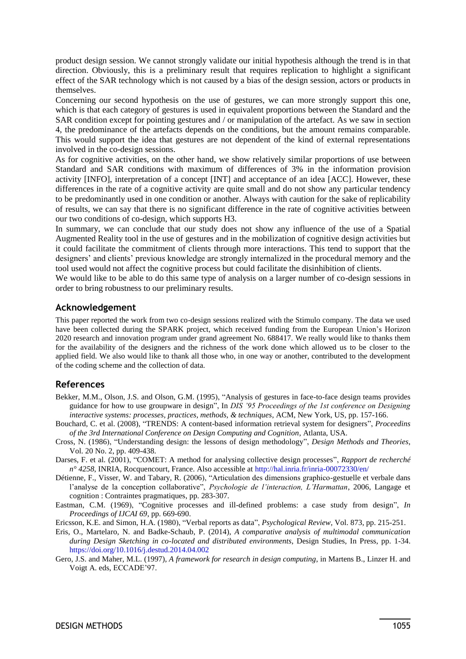product design session. We cannot strongly validate our initial hypothesis although the trend is in that direction. Obviously, this is a preliminary result that requires replication to highlight a significant effect of the SAR technology which is not caused by a bias of the design session, actors or products in themselves.

Concerning our second hypothesis on the use of gestures, we can more strongly support this one, which is that each category of gestures is used in equivalent proportions between the Standard and the SAR condition except for pointing gestures and / or manipulation of the artefact. As we saw in section 4, the predominance of the artefacts depends on the conditions, but the amount remains comparable. This would support the idea that gestures are not dependent of the kind of external representations involved in the co-design sessions.

As for cognitive activities, on the other hand, we show relatively similar proportions of use between Standard and SAR conditions with maximum of differences of 3% in the information provision activity [INFO], interpretation of a concept [INT] and acceptance of an idea [ACC]. However, these differences in the rate of a cognitive activity are quite small and do not show any particular tendency to be predominantly used in one condition or another. Always with caution for the sake of replicability of results, we can say that there is no significant difference in the rate of cognitive activities between our two conditions of co-design, which supports H3.

In summary, we can conclude that our study does not show any influence of the use of a Spatial Augmented Reality tool in the use of gestures and in the mobilization of cognitive design activities but it could facilitate the commitment of clients through more interactions. This tend to support that the designers' and clients' previous knowledge are strongly internalized in the procedural memory and the tool used would not affect the cognitive process but could facilitate the disinhibition of clients.

We would like to be able to do this same type of analysis on a larger number of co-design sessions in order to bring robustness to our preliminary results.

#### **Acknowledgement**

This paper reported the work from two co-design sessions realized with the Stimulo company. The data we used have been collected during the SPARK project, which received funding from the European Union's Horizon 2020 research and innovation program under grand agreement No. 688417. We really would like to thanks them for the availability of the designers and the richness of the work done which allowed us to be closer to the applied field. We also would like to thank all those who, in one way or another, contributed to the development of the coding scheme and the collection of data.

#### **References**

- <span id="page-9-5"></span>Bekker, M.M., Olson, J.S. and Olson, G.M. (1995), "Analysis of gestures in face-to-face design teams provides guidance for how to use groupware in design", In *DIS '95 Proceedings of the 1st conference on Designing interactive systems: processes, practices, methods, & techniques*, ACM, New York, US, pp. 157-166.
- <span id="page-9-8"></span>Bouchard, C. et al. (2008), "TRENDS: A content-based information retrieval system for designers", *Proceedins of the 3rd International Conference on Design Computing and Cognition*, Atlanta, USA.
- <span id="page-9-1"></span>Cross, N. (1986), "Understanding design: the lessons of design methodology", *Design Methods and Theories*, Vol. 20 No. 2, pp. 409-438.
- <span id="page-9-4"></span>Darses, F. et al. (2001), "COMET: A method for analysing collective design processes", *Rapport de recherché n° 4258*, INRIA, Rocquencourt, France. Also accessible at <http://hal.inria.fr/inria-00072330/en/>
- <span id="page-9-7"></span>Détienne, F., Visser, W. and Tabary, R. (2006), "Articulation des dimensions graphico-gestuelle et verbale dans l'analyse de la conception collaborative", *Psychologie de l'interaction, L'Harmattan*, 2006, Langage et cognition : Contraintes pragmatiques, pp. 283-307.
- <span id="page-9-0"></span>Eastman, C.M. (1969), "Cognitive processes and ill-defined problems: a case study from design", *In Proceedings of IJCAI 69*, pp. 669-690.
- <span id="page-9-2"></span>Ericsson, K.E. and Simon, H.A. (1980), "Verbal reports as data", *Psychological Review*, Vol. 873, pp. 215-251.
- <span id="page-9-6"></span>Eris, O., Martelaro, N. and Badke-Schaub, P. (2014), *A comparative analysis of multimodal communication during Design Sketching in co-located and distributed environments*, Design Studies, In Press, pp. 1-34. <https://doi.org/10.1016/j.destud.2014.04.002>
- <span id="page-9-3"></span>Gero, J.S. and Maher, M.L. (1997), *A framework for research in design computing*, in Martens B., Linzer H. and Voigt A. eds, ECCADE'97.